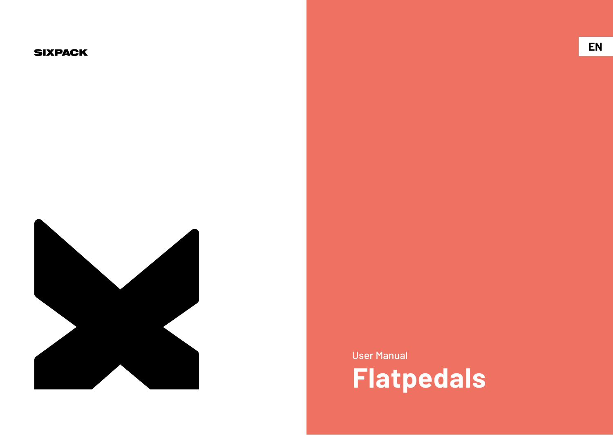#### **SIXPACK**



User Manual **Flatpedals**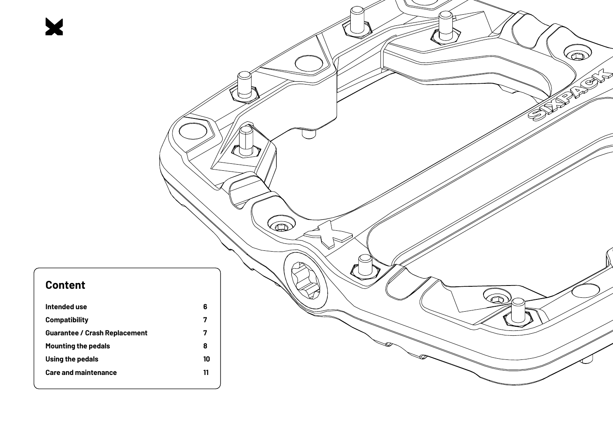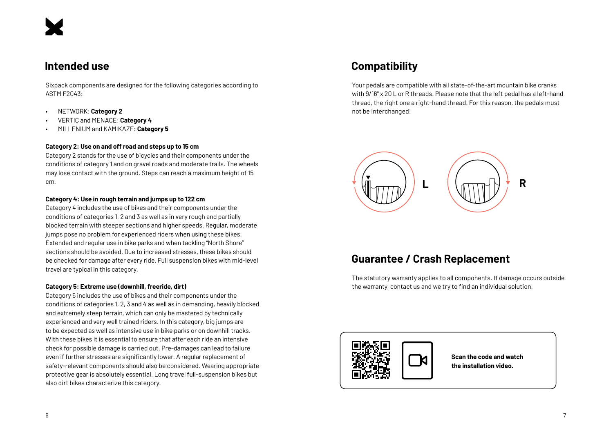#### **Intended use**

Sixpack components are designed for the following categories according to ASTM F2043:

- NETWORK: **Category 2**
- VERTIC and MENACE: **Category 4**
- MILLENIUM and KAMIKAZE: **Category 5**

#### **Category 2: Use on and off road and steps up to 15 cm**

Category 2 stands for the use of bicycles and their components under the conditions of category 1 and on gravel roads and moderate trails. The wheels may lose contact with the ground. Steps can reach a maximum height of 15 cm.

#### **Category 4: Use in rough terrain and jumps up to 122 cm**

Category 4 includes the use of bikes and their components under the conditions of categories 1, 2 and 3 as well as in very rough and partially blocked terrain with steeper sections and higher speeds. Regular, moderate jumps pose no problem for experienced riders when using these bikes. Extended and regular use in bike parks and when tackling "North Shore" sections should be avoided. Due to increased stresses, these bikes should be checked for damage after every ride. Full suspension bikes with mid-level travel are typical in this category.

#### **Category 5: Extreme use (downhill, freeride, dirt)**

Category 5 includes the use of bikes and their components under the conditions of categories 1, 2, 3 and 4 as well as in demanding, heavily blocked and extremely steep terrain, which can only be mastered by technically experienced and very well trained riders. In this category, big jumps are to be expected as well as intensive use in bike parks or on downhill tracks. With these bikes it is essential to ensure that after each ride an intensive check for possible damage is carried out. Pre-damages can lead to failure even if further stresses are significantly lower. A regular replacement of safety-relevant components should also be considered. Wearing appropriate protective gear is absolutely essential. Long travel full-suspension bikes but also dirt bikes characterize this category.

## **Compatibility**

Your pedals are compatible with all state-of-the-art mountain bike cranks with 9/16" x 20 L or R threads. Please note that the left pedal has a left-hand thread, the right one a right-hand thread. For this reason, the pedals must not be interchanged!



### **Guarantee / Crash Replacement**

The statutory warranty applies to all components. If damage occurs outside the warranty, contact us and we try to find an individual solution.



**Scan the code and watch the installation video.**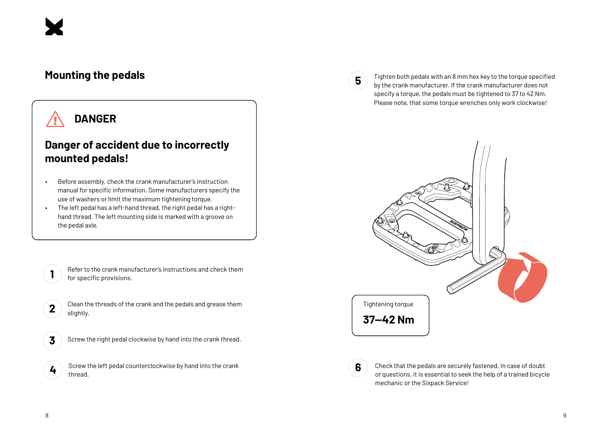#### **Mounting the pedals**

## **DANGER**

### **Danger of accident due to incorrectly mounted pedals!**

- Before assembly, check the crank manufacturer's instruction manual for specific information. Some manufacturers specify the use of washers or limit the maximum tightening torque.
- The left pedal has a left-hand thread, the right pedal has a righthand thread. The left mounting side is marked with a groove on the pedal axle.

Refer to the crank manufacturer's instructions and check them for specific provisions.

- **2** Clean the threads of the crank and the pedals and grease them slightly.
- **3**

**1**

Screw the right pedal clockwise by hand into the crank thread.

**4** Screw the left pedal counterclockwise by hand into the crank thread.

**5**

**6**

Tighten both pedals with an 8 mm hex key to the torque specified by the crank manufacturer. If the crank manufacturer does not specify a torque, the pedals must be tightened to 37 to 42 Nm. Please note, that some torque wrenches only work clockwise!



Check that the pedals are securely fastened. In case of doubt or questions, it is essential to seek the help of a trained bicycle mechanic or the Sixpack Service!